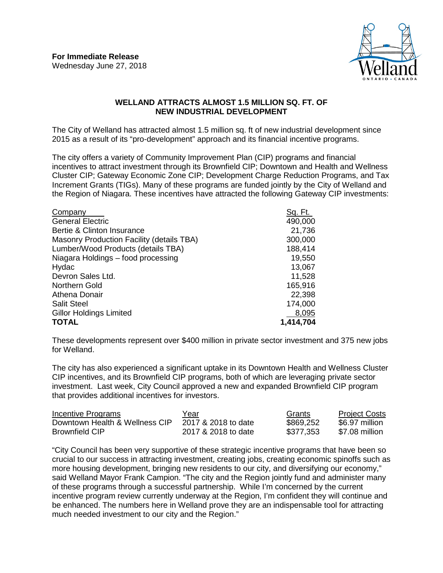

## **WELLAND ATTRACTS ALMOST 1.5 MILLION SQ. FT. OF NEW INDUSTRIAL DEVELOPMENT**

The City of Welland has attracted almost 1.5 million sq. ft of new industrial development since 2015 as a result of its "pro-development" approach and its financial incentive programs.

The city offers a variety of Community Improvement Plan (CIP) programs and financial incentives to attract investment through its Brownfield CIP; Downtown and Health and Wellness Cluster CIP; Gateway Economic Zone CIP; Development Charge Reduction Programs, and Tax Increment Grants (TIGs). Many of these programs are funded jointly by the City of Welland and the Region of Niagara. These incentives have attracted the following Gateway CIP investments:

| Company                                   | <u>Sq. Ft. </u> |
|-------------------------------------------|-----------------|
| <b>General Electric</b>                   | 490,000         |
| Bertie & Clinton Insurance                | 21,736          |
| Masonry Production Facility (details TBA) | 300,000         |
| Lumber/Wood Products (details TBA)        | 188,414         |
| Niagara Holdings - food processing        | 19,550          |
| Hydac                                     | 13,067          |
| Devron Sales Ltd.                         | 11,528          |
| Northern Gold                             | 165,916         |
| <b>Athena Donair</b>                      | 22,398          |
| <b>Salit Steel</b>                        | 174,000         |
| <b>Gillor Holdings Limited</b>            | 8,095           |
| <b>TOTAL</b>                              | 1,414,704       |

These developments represent over \$400 million in private sector investment and 375 new jobs for Welland.

The city has also experienced a significant uptake in its Downtown Health and Wellness Cluster CIP incentives, and its Brownfield CIP programs, both of which are leveraging private sector investment. Last week, City Council approved a new and expanded Brownfield CIP program that provides additional incentives for investors.

| Incentive Programs             | Year                | Grants    | <b>Project Costs</b> |
|--------------------------------|---------------------|-----------|----------------------|
| Downtown Health & Wellness CIP | 2017 & 2018 to date | \$869,252 | \$6.97 million       |
| <b>Brownfield CIP</b>          | 2017 & 2018 to date | \$377,353 | \$7.08 million       |

"City Council has been very supportive of these strategic incentive programs that have been so crucial to our success in attracting investment, creating jobs, creating economic spinoffs such as more housing development, bringing new residents to our city, and diversifying our economy," said Welland Mayor Frank Campion. "The city and the Region jointly fund and administer many of these programs through a successful partnership. While I'm concerned by the current incentive program review currently underway at the Region, I'm confident they will continue and be enhanced. The numbers here in Welland prove they are an indispensable tool for attracting much needed investment to our city and the Region."